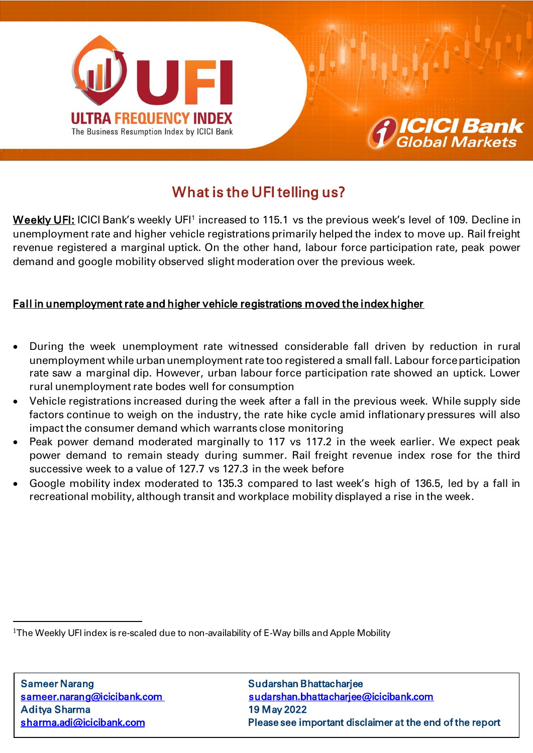



# What is the UFI telling us?

**Weekly UFI:** ICICI Bank's weekly UFI<sup>1</sup> increased to 115.1 vs the previous week's level of 109. Decline in unemployment rate and higher vehicle registrations primarily helped the index to move up. Rail freight revenue registered a marginal uptick. On the other hand, labour force participation rate, peak power demand and google mobility observed slight moderation over the previous week.

## Fall in unemployment rate and higher vehicle registrations moved the index higher

- During the week unemployment rate witnessed considerable fall driven by reduction in rural unemployment while urban unemployment rate too registered a small fall. Labour force participation rate saw a marginal dip. However, urban labour force participation rate showed an uptick. Lower rural unemployment rate bodes well for consumption
- Vehicle registrations increased during the week after a fall in the previous week. While supply side factors continue to weigh on the industry, the rate hike cycle amid inflationary pressures will also impact the consumer demand which warrants close monitoring
- Peak power demand moderated marginally to 117 vs 117.2 in the week earlier. We expect peak power demand to remain steady during summer. Rail freight revenue index rose for the third successive week to a value of 127.7 vs 127.3 in the week before
- Google mobility index moderated to 135.3 compared to last week's high of 136.5, led by a fall in recreational mobility, although transit and workplace mobility displayed a rise in the week.

<sup>1</sup>The Weekly UFI index is re-scaled due to non-availability of E-Way bills and Apple Mobility

 $\overline{a}$ 

l

[sameer.narang@icicibank.com](mailto:sameer.narang@icicibank.com) sudarshan.bhattacharjee@icicibank.com sharma.adi@icicibank.com Please see important disclaimer at the end of the report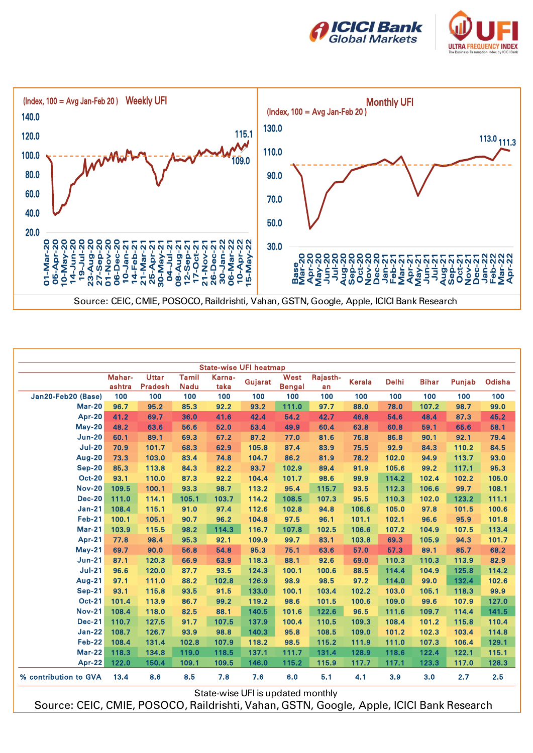





|                       | Mahar-<br>ashtra | <b>Uttar</b><br><b>Pradesh</b> | Tamil<br><b>Nadu</b> | Karna-<br>taka | <b>State-wise UFI heatmap</b><br>Gujarat | West<br><b>Bengal</b> | Rajasth-<br>an | <b>Kerala</b> | <b>Delhi</b> | <b>Bihar</b> | Punjab | Odisha |
|-----------------------|------------------|--------------------------------|----------------------|----------------|------------------------------------------|-----------------------|----------------|---------------|--------------|--------------|--------|--------|
| Jan20-Feb20 (Base)    | 100              | 100                            | 100                  | 100            | 100                                      | 100                   | 100            | 100           | 100          | 100          | 100    | 100    |
| <b>Mar-20</b>         | 96.7             | 95.2                           | 85.3                 | 92.2           | 93.2                                     | 111.0                 | 97.7           | 88.0          | 78.0         | 107.2        | 98.7   | 99.0   |
| <b>Apr-20</b>         | 41.2             | 69.7                           | 36.0                 | 41.6           | 42.4                                     | 54.2                  | 42.7           | 46.8          | 54.6         | 48.4         | 87.3   | 45.2   |
| <b>May-20</b>         | 48.2             | 63.6                           | 56.6                 | 52.0           | 53.4                                     | 49.9                  | 60.4           | 63.8          | 60.8         | 59.1         | 65.6   | 58.1   |
| <b>Jun-20</b>         | 60.1             | 89.1                           | 69.3                 | 67.2           | 87.2                                     | 77.0                  | 81.6           | 76.8          | 86.8         | 90.1         | 92.1   | 79.4   |
| <b>Jul-20</b>         | 70.9             | 101.7                          | 68.3                 | 62.9           | 105.8                                    | 87.4                  | 83.9           | 75.5          | 92.9         | 84.3         | 110.2  | 84.5   |
| Aug-20                | 73.3             | 103.0                          | 83.4                 | 74.8           | 104.7                                    | 86.2                  | 81.9           | 78.2          | 102.0        | 94.9         | 113.7  | 93.0   |
| <b>Sep-20</b>         | 85.3             | 113.8                          | 84.3                 | 82.2           | 93.7                                     | 102.9                 | 89.4           | 91.9          | 105.6        | 99.2         | 117.1  | 95.3   |
| <b>Oct-20</b>         | 93.1             | 110.0                          | 87.3                 | 92.2           | 104.4                                    | 101.7                 | 98.6           | 99.9          | 114.2        | 102.4        | 102.2  | 105.0  |
| <b>Nov-20</b>         | 109.5            | 100.1                          | 93.3                 | 98.7           | 113.2                                    | 95.4                  | 115.7          | 93.5          | 112.3        | 106.6        | 99.7   | 108.1  |
| <b>Dec-20</b>         | 111.0            | 114.1                          | 105.1                | 103.7          | 114.2                                    | 108.5                 | 107.3          | 95.5          | 110.3        | 102.0        | 123.2  | 111.1  |
| <b>Jan-21</b>         | 108.4            | 115.1                          | 91.0                 | 97.4           | 112.6                                    | 102.8                 | 94.8           | 106.6         | 105.0        | 97.8         | 101.5  | 100.6  |
| <b>Feb-21</b>         | 100.1            | 105.1                          | 90.7                 | 96.2           | 104.8                                    | 97.5                  | 96.1           | 101.1         | 102.1        | 96.6         | 95.9   | 101.8  |
| <b>Mar-21</b>         | 103.9            | 115.5                          | 98.2                 | 114.3          | 116.7                                    | 107.8                 | 102.5          | 106.6         | 107.2        | 104.9        | 107.5  | 113.4  |
| <b>Apr-21</b>         | 77.8             | 98.4                           | 95.3                 | 92.1           | 109.9                                    | 99.7                  | 83.1           | 103.8         | 69.3         | 105.9        | 94.3   | 101.7  |
| $May-21$              | 69.7             | 90.0                           | 56.8                 | 54.8           | 95.3                                     | 75.1                  | 63.6           | 57.0          | 57.3         | 89.1         | 85.7   | 68.2   |
| <b>Jun-21</b>         | 87.1             | 120.3                          | 66.9                 | 63.9           | 118.3                                    | 88.1                  | 92.6           | 69.0          | 110.3        | 110.3        | 113.9  | 82.9   |
| <b>Jul-21</b>         | 96.6             | 120.0                          | 87.7                 | 93.5           | 124.3                                    | 100.1                 | 100.6          | 88.5          | 114.4        | 104.9        | 125.8  | 114.2  |
| <b>Aug-21</b>         | 97.1             | 111.0                          | 88.2                 | 102.8          | 126.9                                    | 98.9                  | 98.5           | 97.2          | 114.0        | 99.0         | 132.4  | 102.6  |
| <b>Sep-21</b>         | 93.1             | 115.8                          | 93.5                 | 91.5           | 133.0                                    | 100.1                 | 103.4          | 102.2         | 103.0        | 105.1        | 118.3  | 99.9   |
| <b>Oct-21</b>         | 101.4            | 113.9                          | 86.7                 | 99.2           | 119.2                                    | 98.6                  | 101.5          | 100.6         | 109.0        | 99.6         | 107.9  | 127.0  |
| <b>Nov-21</b>         | 108.4            | 118.0                          | 82.5                 | 88.1           | 140.5                                    | 101.6                 | 122.6          | 96.5          | 111.6        | 109.7        | 114.4  | 141.5  |
| <b>Dec-21</b>         | 110.7            | 127.5                          | 91.7                 | 107.5          | 137.9                                    | 100.4                 | 110.5          | 109.3         | 108.4        | 101.2        | 115.8  | 110.4  |
| <b>Jan-22</b>         | 108.7            | 126.7                          | 93.9                 | 98.8           | 140.3                                    | 95.8                  | 108.5          | 109.0         | 101.2        | 102.3        | 103.4  | 114.8  |
| <b>Feb-22</b>         | 108.4            | 131.4                          | 102.8                | 107.9          | 118.2                                    | 98.5                  | 115.2          | 111.9         | 111.0        | 107.3        | 106.4  | 129.1  |
| <b>Mar-22</b>         | 118.3            | 134.8                          | 119.0                | 118.5          | 137.1                                    | 111.7                 | 131.4          | 128.9         | 118.6        | 122.4        | 122.1  | 115.1  |
| <b>Apr-22</b>         | 122.0            | 150.4                          | 109.1                | 109.5          | 146.0                                    | 115.2                 | 115.9          | 117.7         | 117.1        | 123.3        | 117.0  | 128.3  |
| % contribution to GVA | 13.4             | 8.6                            | 8.5                  | 7.8            | 7.6                                      | 6.0                   | 5.1            | 4.1           | 3.9          | 3.0          | 2.7    | 2.5    |

Source: CEIC, CMIE, POSOCO, Raildrishti, Vahan, GSTN, Google, Apple, ICICI Bank Research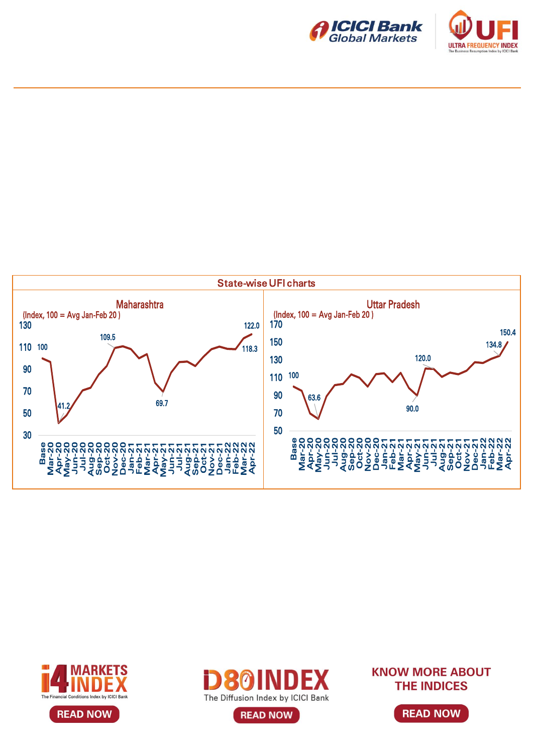









**READ NOW** 

**KNOW MORE ABOUT THE INDICES** 

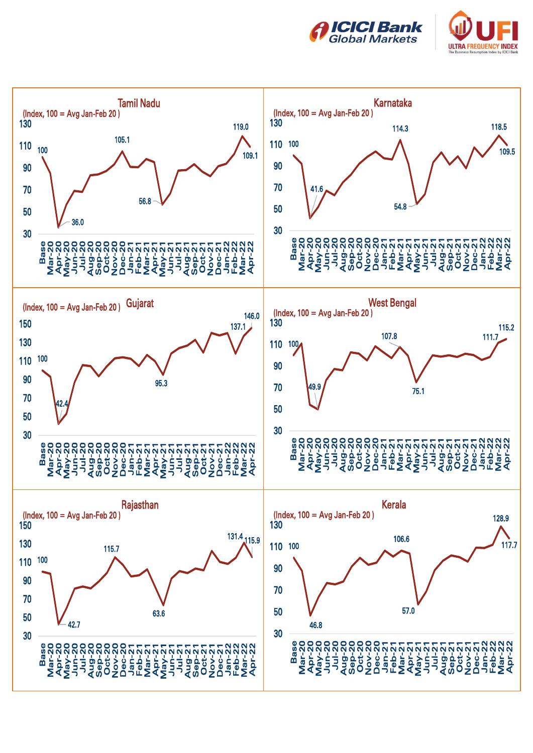



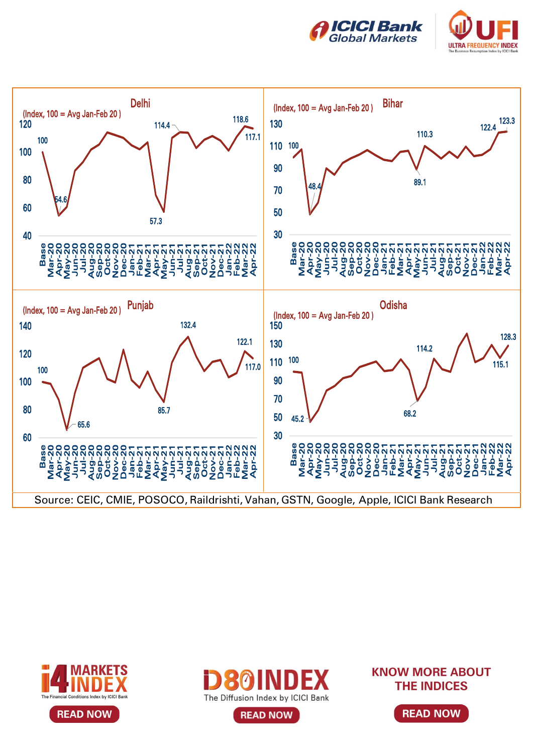









**KNOW MORE ABOUT THE INDICES** 

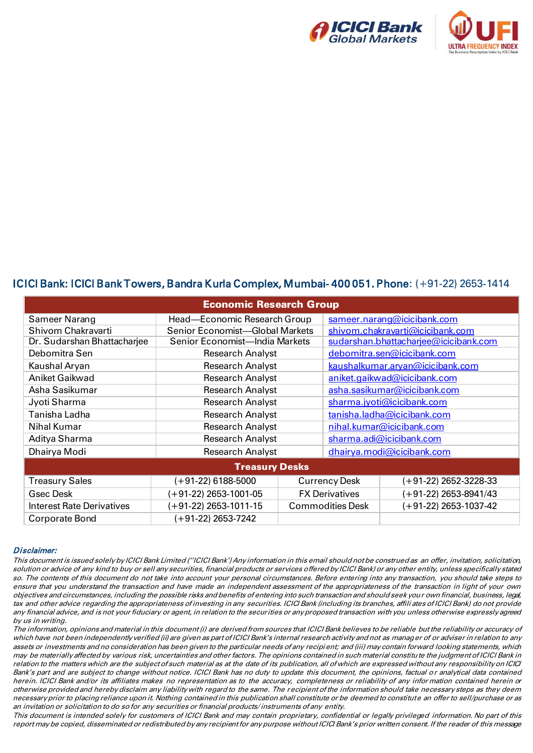



### ICICI Bank: ICICI Bank Towers, Bandra Kurla Complex, Mumbai- 400 051. Phone: (+91-22) 2653-1414

| <b>Economic Research Group</b>           |                                 |                         |                                       |                         |  |  |  |  |  |  |
|------------------------------------------|---------------------------------|-------------------------|---------------------------------------|-------------------------|--|--|--|--|--|--|
| Sameer Narang                            | Head—Economic Research Group    |                         | sameer.narang@icicibank.com           |                         |  |  |  |  |  |  |
| Shivom Chakravarti                       | Senior Economist-Global Markets |                         | shivom.chakravarti@icicibank.com      |                         |  |  |  |  |  |  |
| Dr. Sudarshan Bhattacharjee              | Senior Economist-India Markets  |                         | sudarshan.bhattacharjee@icicibank.com |                         |  |  |  |  |  |  |
| Debomitra Sen                            | <b>Research Analyst</b>         |                         | debomitra.sen@icicibank.com           |                         |  |  |  |  |  |  |
| Kaushal Aryan                            | <b>Research Analyst</b>         |                         | kaushalkumar.aryan@icicibank.com      |                         |  |  |  |  |  |  |
| <b>Aniket Gaikwad</b>                    | <b>Research Analyst</b>         |                         | aniket.gaikwad@icicibank.com          |                         |  |  |  |  |  |  |
| Asha Sasikumar                           | <b>Research Analyst</b>         |                         | asha.sasikumar@icicibank.com          |                         |  |  |  |  |  |  |
| Jyoti Sharma                             | <b>Research Analyst</b>         |                         | sharma.jyoti@icicibank.com            |                         |  |  |  |  |  |  |
| Tanisha Ladha<br><b>Research Analyst</b> |                                 |                         | tanisha.ladha@icicibank.com           |                         |  |  |  |  |  |  |
| Nihal Kumar                              | <b>Research Analyst</b>         |                         | nihal.kumar@icicibank.com             |                         |  |  |  |  |  |  |
| Aditya Sharma                            | <b>Research Analyst</b>         |                         | sharma.adi@icicibank.com              |                         |  |  |  |  |  |  |
| Dhairya Modi                             | <b>Research Analyst</b>         |                         | dhairya.modi@icicibank.com            |                         |  |  |  |  |  |  |
| <b>Treasury Desks</b>                    |                                 |                         |                                       |                         |  |  |  |  |  |  |
| <b>Treasury Sales</b>                    | (+91-22) 6188-5000              |                         |                                       | $(+91-22)$ 2652-3228-33 |  |  |  |  |  |  |
| <b>Gsec Desk</b>                         | (+91-22) 2653-1001-05           |                         | <b>FX Derivatives</b>                 | $(+91-22)$ 2653-8941/43 |  |  |  |  |  |  |
| <b>Interest Rate Derivatives</b>         | (+91-22) 2653-1011-15           | <b>Commodities Desk</b> |                                       | $(+91-22)$ 2653-1037-42 |  |  |  |  |  |  |
| Corporate Bond                           | (+91-22) 2653-7242              |                         |                                       |                         |  |  |  |  |  |  |

#### Disclaimer:

This document is issued solely by ICICI Bank Limited (''ICICI Bank') Any information in this email should not be construed as an offer, invitation, solicitation, solution or advice of any kind to buy or sell any securities, financial products or services offered by ICICI Bank) or any other entity, unless specifically stated so. The contents of this document do not take into account your personal circumstances. Before entering into any transaction, you should take steps to ensure that you understand the transaction and have made an independent assessment of the appropriateness of the transaction in light of your own objectives and circumstances, including the possible risks and benefits of entering into such transaction and should seek your own financial, business, legal, tax and other advice regarding the appropriateness of investing in any securities. ICICI Bank (including its branches, affili ates of ICICI Bank) do not provide any financial advice, and is not your fiduciary or agent, in relation to the securities or any proposed transaction with you unless otherwise expressly agreed by us in writing.

The information, opinions and material in this document (i) are derived from sources that ICICI Bank believes to be reliable but the reliability or accuracy of which have not been independently verified (ii) are given as part of ICICI Bank's internal research activity and not as manager of or adviser in relation to any assets or investments and no consideration has been given to the particular needs of any recipient; and (iii) may contain forward looking statements, which may be materially affected by various risk, uncertainties and other factors. The opinions contained in such material constitute the judgment of ICICI Bank in relation to the matters which are the subject of such material as at the date of its publication, all of which are expressed without any responsibility on ICICI Bank's part and are subject to change without notice. ICICI Bank has no duty to update this document, the opinions, factual or analytical data contained herein. ICICI Bank and/or its affiliates makes no representation as to the accuracy, completeness or reliability of any infor mation contained herein or otherwise provided and hereby disclaim any liability with regard to the same. The recipient of the information should take necessary steps as they deem necessary prior to placing reliance upon it. Nothing contained in this publication shall constitute or be deemed to constitute an offer to sell/purchase or as an invitation or solicitation to do so for any securities or financial products/ instruments of any entity.

This document is intended solely for customers of ICICI Bank and may contain proprietary, confidential or legally privileged information. No part of this report may be copied, disseminated or redistributed by any recipient for any purpose without ICICI Bank's prior written consent. If the reader of this message